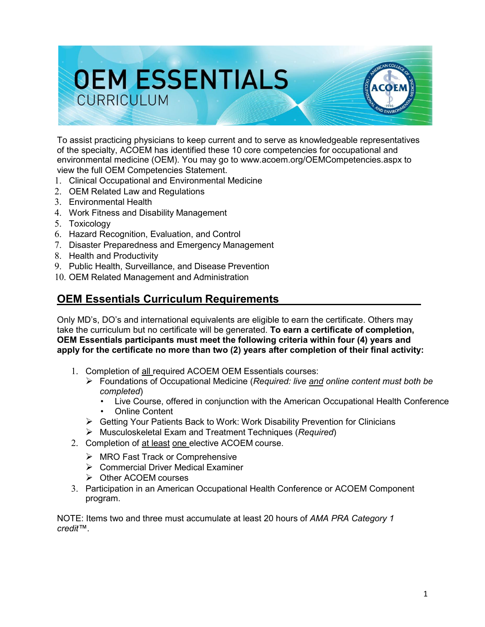

To assist practicing physicians to keep current and to serve as knowledgeable representatives of the specialty, ACOEM has identified these 10 core competencies for occupational and environmental medicine (OEM). You may go to [www.acoem.org/OEMCompetencies.aspx](http://www.acoem.org/OEMCompetencies.aspx) to view the full OEM Competencies Statement.

- 1. Clinical Occupational and Environmental Medicine
- 2. OEM Related Law and Regulations
- 3. Environmental Health
- 4. Work Fitness and Disability Management
- 5. Toxicology
- 6. Hazard Recognition, Evaluation, and Control
- 7. Disaster Preparedness and Emergency Management
- 8. Health and Productivity
- 9. Public Health, Surveillance, and Disease Prevention
- 10. OEM Related Management and Administration

# **OEM Essentials Curriculum Requirements**

Only MD's, DO's and international equivalents are eligible to earn the certificate. Others may take the curriculum but no certificate will be generated. **To earn a certificate of completion, OEM Essentials participants must meet the following criteria within four (4) years and apply for the certificate no more than two (2) years after completion of their final activity:**

- 1. Completion of all required ACOEM OEM Essentials courses:
	- Foundations of Occupational Medicine (*Required: live and online content must both be completed*)
		- Live Course, offered in conjunction with the American Occupational Health Conference
		- **Online Content**
	- Getting Your Patients Back to Work: Work Disability Prevention for Clinicians
	- Musculoskeletal Exam and Treatment Techniques (*Required*)
- 2. Completion of at least one elective ACOEM course.
	- $\triangleright$  MRO Fast Track or Comprehensive
	- **►** Commercial Driver Medical Examiner
	- $\triangleright$  Other ACOEM courses
- 3. Participation in an American Occupational Health Conference or ACOEM Component program.

NOTE: Items two and three must accumulate at least 20 hours of *AMA PRA Category 1 credit™*.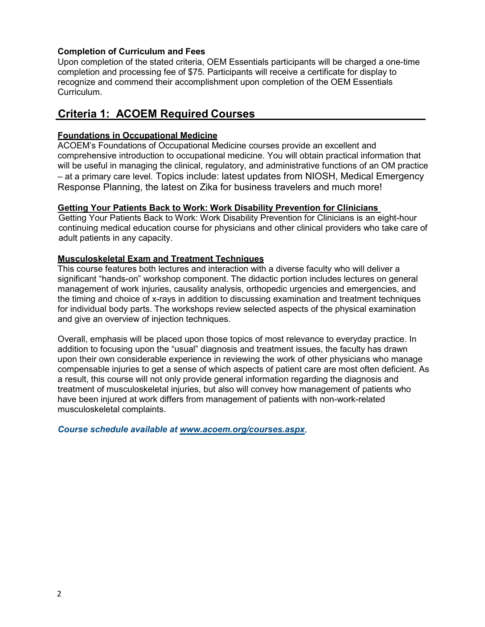#### **Completion of Curriculum and Fees**

Upon completion of the stated criteria, OEM Essentials participants will be charged a one-time completion and processing fee of \$75. Participants will receive a certificate for display to recognize and commend their accomplishment upon completion of the OEM Essentials Curriculum.

## **Criteria 1: ACOEM Required Courses**

#### **Foundations in Occupational Medicine**

ACOEM's Foundations of Occupational Medicine courses provide an excellent and comprehensive introduction to occupational medicine. You will obtain practical information that will be useful in managing the clinical, regulatory, and administrative functions of an OM practice – at a primary care level. Topics include: latest updates from NIOSH, Medical Emergency Response Planning, the latest on Zika for business travelers and much more!

#### **Getting Your Patients Back to Work: Work Disability Prevention for Clinicians**

Getting Your Patients Back to Work: Work Disability Prevention for Clinicians is an eight-hour continuing medical education course for physicians and other clinical providers who take care of adult patients in any capacity.

#### **Musculoskeletal Exam and Treatment Techniques**

This course features both lectures and interaction with a diverse faculty who will deliver a significant "hands-on" workshop component. The didactic portion includes lectures on general management of work injuries, causality analysis, orthopedic urgencies and emergencies, and the timing and choice of x-rays in addition to discussing examination and treatment techniques for individual body parts. The workshops review selected aspects of the physical examination and give an overview of injection techniques.

Overall, emphasis will be placed upon those topics of most relevance to everyday practice. In addition to focusing upon the "usual" diagnosis and treatment issues, the faculty has drawn upon their own considerable experience in reviewing the work of other physicians who manage compensable injuries to get a sense of which aspects of patient care are most often deficient. As a result, this course will not only provide general information regarding the diagnosis and treatment of musculoskeletal injuries, but also will convey how management of patients who have been injured at work differs from management of patients with non-work-related musculoskeletal complaints.

*Course schedule a[vailable at www.acoem.org/courses.aspx.](http://www.acoem.org/courses.aspx)*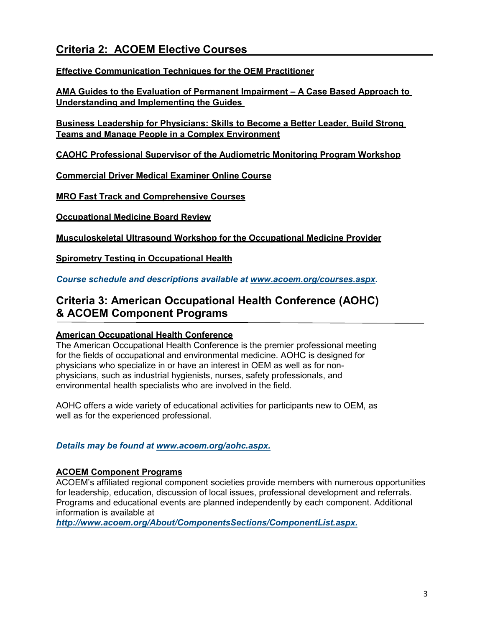# **Criteria 2: ACOEM Elective Courses**

### **Effective Communication Techniques for the OEM Practitioner**

**AMA Guides to the Evaluation of Permanent Impairment – A Case Based Approach to Understanding and Implementing the Guides** 

**Business Leadership for Physicians: Skills to Become a Better Leader, Build Strong Teams and Manage People in a Complex Environment**

**CAOHC Professional Supervisor of the Audiometric Monitoring Program Workshop**

**Commercial Driver Medical Examiner Online Course**

**MRO Fast Track and Comprehensive Courses**

**Occupational Medicine Board Review**

**Musculoskeletal Ultrasound Workshop for the Occupational Medicine Provider**

**Spirometry Testing in Occupational Health**

*Course schedule and descriptions a[vailable at www.acoem.org/courses.aspx.](http://www.acoem.org/courses.aspx)*

## **Criteria 3: American Occupational Health Conference (AOHC) & ACOEM Component Programs**

### **American Occupational Health Conference**

The American Occupational Health Conference is the premier professional meeting for the fields of occupational and environmental medicine. AOHC is designed for physicians who specialize in or have an interest in OEM as well as for nonphysicians, such as industrial hygienists, nurses, safety professionals, and environmental health specialists who are involved in the field.

AOHC offers a wide variety of educational activities for participants new to OEM, as well as for the experienced professional.

### *Details may be found at [www.acoem.org/aohc.aspx.](http://www.acoem.org/aohc.aspx)*

### **ACOEM Component Programs**

ACOEM's affiliated regional component societies provide members with numerous opportunities for leadership, education, discussion of local issues, professional development and referrals. Programs and educational events are planned independently by each component. Additional information is available at

*[http://www.acoem.org/About/ComponentsSections/ComponentList.aspx.](http://www.acoem.org/About/ComponentsSections/ComponentList.aspx)*